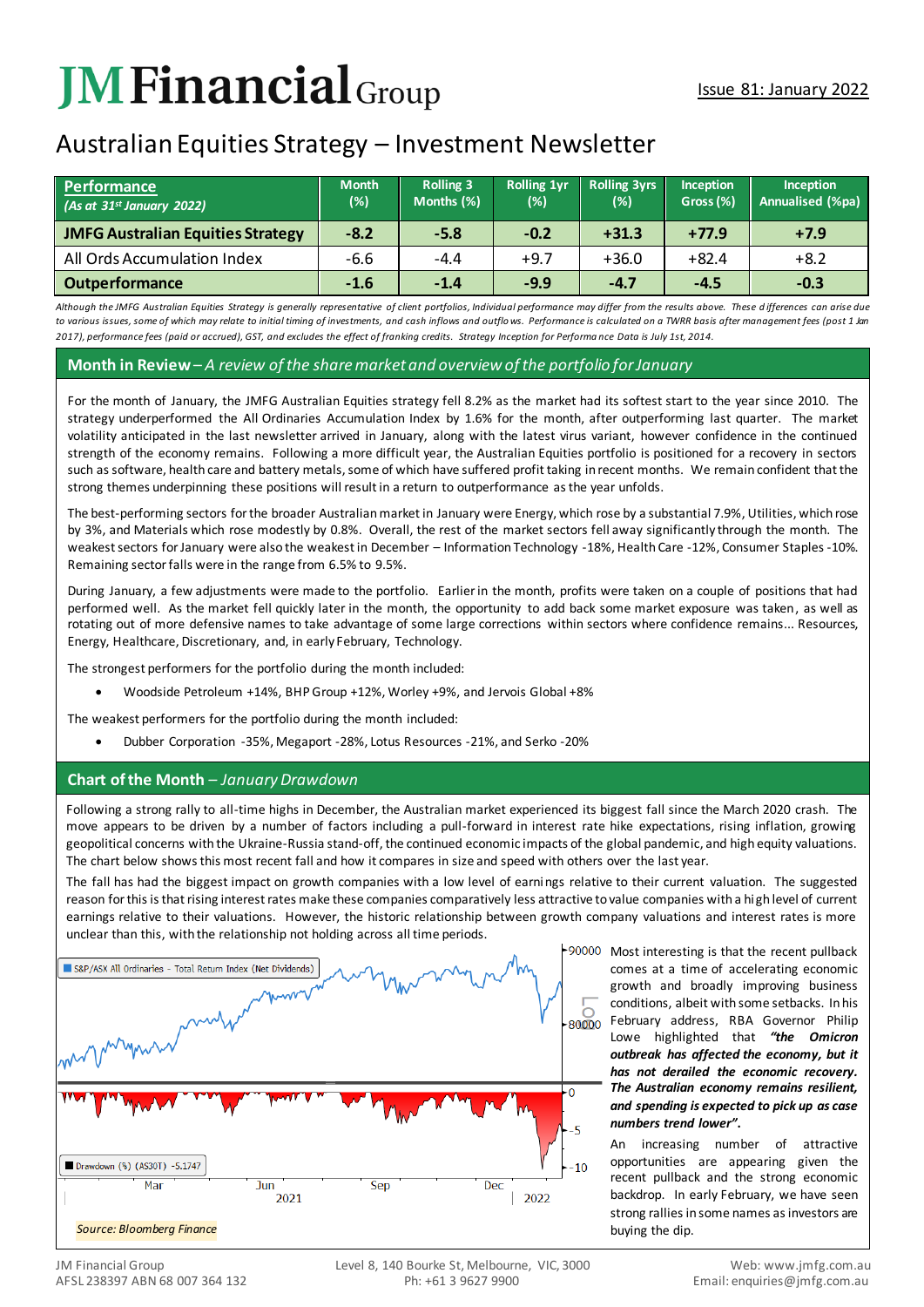# **JM Financial** Group

# Australian Equities Strategy – Investment Newsletter

| Performance<br>$($ As at 31st January 2022) | <b>Month</b><br>(%) | <b>Rolling 3</b><br>Months (%) | <b>Rolling 1yr</b><br>$(\%)$ | <b>Rolling 3yrs</b><br>$(\%)$ | Inception<br>Gross (%) | <b>Inception</b><br>Annualised (%pa) |
|---------------------------------------------|---------------------|--------------------------------|------------------------------|-------------------------------|------------------------|--------------------------------------|
| <b>JMFG Australian Equities Strategy</b>    | $-8.2$              | $-5.8$                         | $-0.2$                       | $+31.3$                       | $+77.9$                | $+7.9$                               |
| All Ords Accumulation Index                 | $-6.6$              | $-4.4$                         | $+9.7$                       | $+36.0$                       | +82.4                  | $+8.2$                               |
| <b>Outperformance</b>                       | $-1.6$              | $-1.4$                         | $-9.9$                       | $-4.7$                        | $-4.5$                 | $-0.3$                               |

*Although the JMFG Australian Equities Strategy is generally representative of client portfolios, Individual performance may differ from the results above. These d ifferences can arise due*  to various issues, some of which may relate to initial timing of investments, and cash inflows and outflows. Performance is calculated on a TWRR basis after management fees (post 1 Jan *2017), performance fees (paid or accrued), GST, and excludes the effect of franking credits. Strategy Inception for Performa nce Data is July 1st, 2014.*

#### **Month in Review***– A review of the share market and overview of the portfolio for January*

For the month of January, the JMFG Australian Equities strategy fell 8.2% as the market had its softest start to the year since 2010. The strategy underperformed the All Ordinaries Accumulation Index by 1.6% for the month, after outperforming last quarter. The market volatility anticipated in the last newsletter arrived in January, along with the latest virus variant, however confidence in the continued strength of the economy remains. Following a more difficult year, the Australian Equities portfolio is positioned for a recovery in sectors such as software, health care and battery metals, some of which have suffered profit taking in recent months. We remain confident that the strong themes underpinning these positions will result in a return to outperformance as the year unfolds.

The best-performing sectors for the broader Australian market in January were Energy, which rose by a substantial 7.9%, Utilities, which rose by 3%, and Materials which rose modestly by 0.8%. Overall, the rest of the market sectors fell away significantly through the month. The weakest sectors for January were also the weakest in December – Information Technology -18%, Health Care -12%, Consumer Staples -10%. Remaining sector falls were in the range from 6.5% to 9.5%.

During January, a few adjustments were made to the portfolio. Earlier in the month, profits were taken on a couple of positions that had performed well. As the market fell quickly later in the month, the opportunity to add back some market exposure was taken, as well as rotating out of more defensive names to take advantage of some large corrections within sectors where confidence remains... Resources, Energy, Healthcare, Discretionary, and, in early February, Technology.

The strongest performers for the portfolio during the month included:

• Woodside Petroleum +14%, BHP Group +12%, Worley +9%, and Jervois Global +8%

The weakest performers for the portfolio during the month included:

• Dubber Corporation -35%, Megaport -28%, Lotus Resources -21%, and Serko -20%

## **Chart of the Month** *– January Drawdown*

Following a strong rally to all-time highs in December, the Australian market experienced its biggest fall since the March 2020 crash. The move appears to be driven by a number of factors including a pull-forward in interest rate hike expectations, rising inflation, growing geopolitical concerns with the Ukraine-Russia stand-off, the continued economic impacts of the global pandemic, and high equity valuations. The chart below shows this most recent fall and how it compares in size and speed with others over the last year.

The fall has had the biggest impact on growth companies with a low level of earnings relative to their current valuation. The suggested reason for this is that rising interest rates make these companies comparatively less attractive to value companies with a high level of current earnings relative to their valuations. However, the historic relationship between growth company valuations and interest rates is more unclear than this, with the relationship not holding across all time periods.



90000 Most interesting is that the recent pullback comes at a time of accelerating economic growth and broadly improving business conditions, albeit with some setbacks. In his 80000 February address, RBA Governor Philip Lowe highlighted that *"the Omicron outbreak has affected the economy, but it has not derailed the economic recovery. The Australian economy remains resilient, and spending is expected to pick up as case numbers trend lower"***.** 

> An increasing number of attractive opportunities are appearing given the recent pullback and the strong economic backdrop. In early February, we have seen strong rallies in some names as investors are buying the dip.